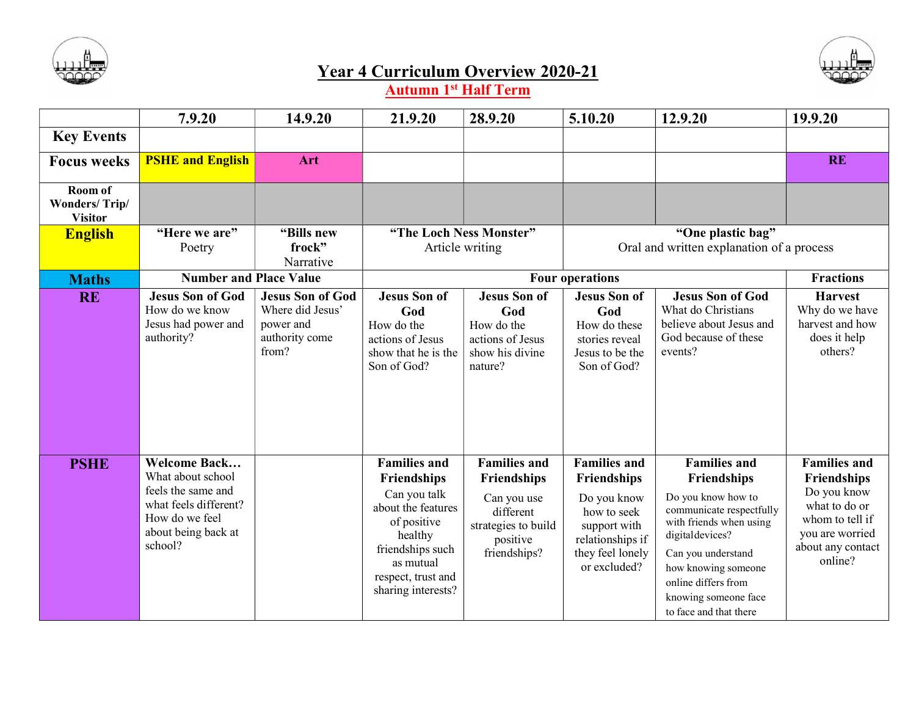



## Year 4 Curriculum Overview 2020-21

Autumn 1<sup>st</sup> Half Term

|                                                   | 7.9.20                                                                                                                                      | 14.9.20                                                                             | 21.9.20                                                                                                                                                                         | 28.9.20                                                                                                           | 5.10.20                                                                                                                                         | 12.9.20                                                                                                                                                                                                                                                   | 19.9.20                                                                                                                                  |
|---------------------------------------------------|---------------------------------------------------------------------------------------------------------------------------------------------|-------------------------------------------------------------------------------------|---------------------------------------------------------------------------------------------------------------------------------------------------------------------------------|-------------------------------------------------------------------------------------------------------------------|-------------------------------------------------------------------------------------------------------------------------------------------------|-----------------------------------------------------------------------------------------------------------------------------------------------------------------------------------------------------------------------------------------------------------|------------------------------------------------------------------------------------------------------------------------------------------|
| <b>Key Events</b>                                 |                                                                                                                                             |                                                                                     |                                                                                                                                                                                 |                                                                                                                   |                                                                                                                                                 |                                                                                                                                                                                                                                                           |                                                                                                                                          |
| <b>Focus weeks</b>                                | <b>PSHE and English</b>                                                                                                                     | Art                                                                                 |                                                                                                                                                                                 |                                                                                                                   |                                                                                                                                                 |                                                                                                                                                                                                                                                           | <b>RE</b>                                                                                                                                |
| Room of<br><b>Wonders/Trip/</b><br><b>Visitor</b> |                                                                                                                                             |                                                                                     |                                                                                                                                                                                 |                                                                                                                   |                                                                                                                                                 |                                                                                                                                                                                                                                                           |                                                                                                                                          |
| <b>English</b>                                    | "Here we are"<br>Poetry                                                                                                                     | "Bills new<br>frock"<br>Narrative                                                   | "The Loch Ness Monster"<br>Article writing                                                                                                                                      |                                                                                                                   | "One plastic bag"<br>Oral and written explanation of a process                                                                                  |                                                                                                                                                                                                                                                           |                                                                                                                                          |
| <b>Maths</b>                                      | <b>Number and Place Value</b>                                                                                                               |                                                                                     |                                                                                                                                                                                 |                                                                                                                   | <b>Four operations</b>                                                                                                                          | <b>Fractions</b>                                                                                                                                                                                                                                          |                                                                                                                                          |
| <b>RE</b>                                         | <b>Jesus Son of God</b><br>How do we know<br>Jesus had power and<br>authority?                                                              | <b>Jesus Son of God</b><br>Where did Jesus'<br>power and<br>authority come<br>from? | <b>Jesus Son of</b><br>God<br>How do the<br>actions of Jesus<br>show that he is the<br>Son of God?                                                                              | <b>Jesus Son of</b><br>God<br>How do the<br>actions of Jesus<br>show his divine<br>nature?                        | <b>Jesus Son of</b><br>God<br>How do these<br>stories reveal<br>Jesus to be the<br>Son of God?                                                  | <b>Jesus Son of God</b><br>What do Christians<br>believe about Jesus and<br>God because of these<br>events?                                                                                                                                               | <b>Harvest</b><br>Why do we have<br>harvest and how<br>does it help<br>others?                                                           |
| <b>PSHE</b>                                       | <b>Welcome Back</b><br>What about school<br>feels the same and<br>what feels different?<br>How do we feel<br>about being back at<br>school? |                                                                                     | <b>Families and</b><br>Friendships<br>Can you talk<br>about the features<br>of positive<br>healthy<br>friendships such<br>as mutual<br>respect, trust and<br>sharing interests? | <b>Families and</b><br>Friendships<br>Can you use<br>different<br>strategies to build<br>positive<br>friendships? | <b>Families and</b><br><b>Friendships</b><br>Do you know<br>how to seek<br>support with<br>relationships if<br>they feel lonely<br>or excluded? | <b>Families and</b><br>Friendships<br>Do you know how to<br>communicate respectfully<br>with friends when using<br>digital devices?<br>Can you understand<br>how knowing someone<br>online differs from<br>knowing someone face<br>to face and that there | <b>Families and</b><br>Friendships<br>Do you know<br>what to do or<br>whom to tell if<br>you are worried<br>about any contact<br>online? |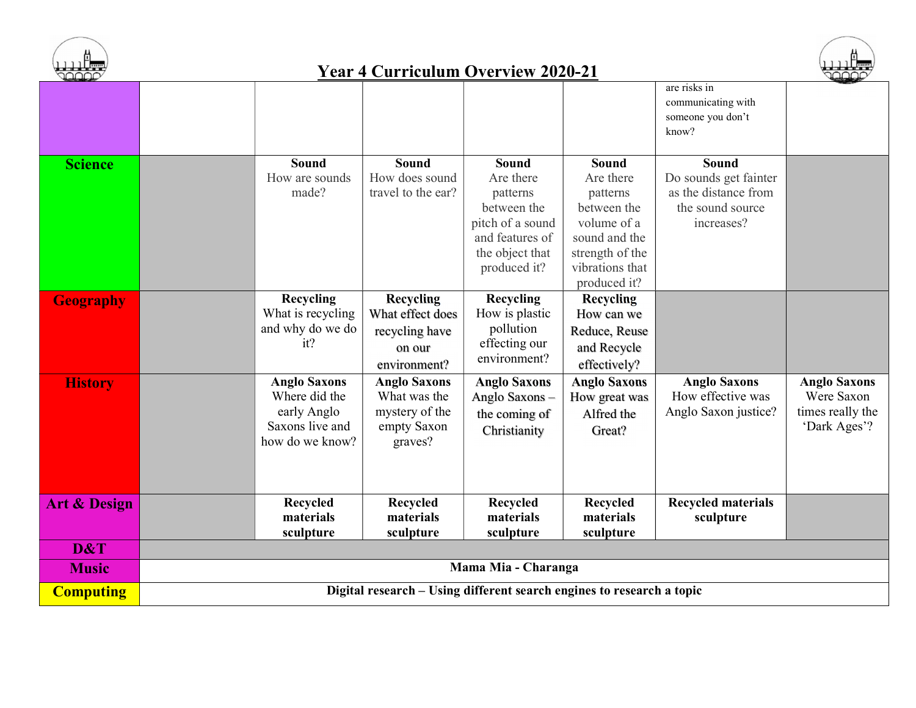

## Year 4 Curriculum Overview 2020-21



| designed by             |                                                                       |                     | $\sim$ called the $\sim$ in the $\sim$ 2020 21 |                     |                           | $\begin{picture}(120,10) \put(0,0){\line(1,0){10}} \put(15,0){\line(1,0){10}} \put(15,0){\line(1,0){10}} \put(15,0){\line(1,0){10}} \put(15,0){\line(1,0){10}} \put(15,0){\line(1,0){10}} \put(15,0){\line(1,0){10}} \put(15,0){\line(1,0){10}} \put(15,0){\line(1,0){10}} \put(15,0){\line(1,0){10}} \put(15,0){\line(1,0){10}} \put(15,0){\line($ |  |  |
|-------------------------|-----------------------------------------------------------------------|---------------------|------------------------------------------------|---------------------|---------------------------|-----------------------------------------------------------------------------------------------------------------------------------------------------------------------------------------------------------------------------------------------------------------------------------------------------------------------------------------------------|--|--|
|                         |                                                                       |                     |                                                |                     | are risks in              |                                                                                                                                                                                                                                                                                                                                                     |  |  |
|                         |                                                                       |                     |                                                |                     | communicating with        |                                                                                                                                                                                                                                                                                                                                                     |  |  |
|                         |                                                                       |                     |                                                |                     | someone you don't         |                                                                                                                                                                                                                                                                                                                                                     |  |  |
|                         |                                                                       |                     |                                                |                     | know?                     |                                                                                                                                                                                                                                                                                                                                                     |  |  |
|                         |                                                                       |                     |                                                |                     |                           |                                                                                                                                                                                                                                                                                                                                                     |  |  |
| <b>Science</b>          | Sound                                                                 | <b>Sound</b>        | <b>Sound</b>                                   | Sound               | Sound                     |                                                                                                                                                                                                                                                                                                                                                     |  |  |
|                         | How are sounds                                                        | How does sound      | Are there                                      | Are there           | Do sounds get fainter     |                                                                                                                                                                                                                                                                                                                                                     |  |  |
|                         | made?                                                                 | travel to the ear?  | patterns                                       | patterns            | as the distance from      |                                                                                                                                                                                                                                                                                                                                                     |  |  |
|                         |                                                                       |                     | between the                                    | between the         | the sound source          |                                                                                                                                                                                                                                                                                                                                                     |  |  |
|                         |                                                                       |                     | pitch of a sound                               | volume of a         | increases?                |                                                                                                                                                                                                                                                                                                                                                     |  |  |
|                         |                                                                       |                     | and features of                                | sound and the       |                           |                                                                                                                                                                                                                                                                                                                                                     |  |  |
|                         |                                                                       |                     | the object that                                | strength of the     |                           |                                                                                                                                                                                                                                                                                                                                                     |  |  |
|                         |                                                                       |                     | produced it?                                   | vibrations that     |                           |                                                                                                                                                                                                                                                                                                                                                     |  |  |
|                         |                                                                       |                     |                                                | produced it?        |                           |                                                                                                                                                                                                                                                                                                                                                     |  |  |
| <b>Geography</b>        | Recycling                                                             | <b>Recycling</b>    | Recycling                                      | <b>Recycling</b>    |                           |                                                                                                                                                                                                                                                                                                                                                     |  |  |
|                         | What is recycling                                                     | What effect does    | How is plastic                                 | How can we          |                           |                                                                                                                                                                                                                                                                                                                                                     |  |  |
|                         | and why do we do                                                      | recycling have      | pollution                                      | Reduce, Reuse       |                           |                                                                                                                                                                                                                                                                                                                                                     |  |  |
|                         | it?                                                                   | on our              | effecting our                                  | and Recycle         |                           |                                                                                                                                                                                                                                                                                                                                                     |  |  |
|                         |                                                                       | environment?        | environment?                                   | effectively?        |                           |                                                                                                                                                                                                                                                                                                                                                     |  |  |
| <b>History</b>          | <b>Anglo Saxons</b>                                                   | <b>Anglo Saxons</b> | <b>Anglo Saxons</b>                            | <b>Anglo Saxons</b> | <b>Anglo Saxons</b>       | <b>Anglo Saxons</b>                                                                                                                                                                                                                                                                                                                                 |  |  |
|                         | Where did the                                                         | What was the        | Anglo Saxons-                                  | How great was       | How effective was         | Were Saxon                                                                                                                                                                                                                                                                                                                                          |  |  |
|                         | early Anglo                                                           | mystery of the      | the coming of                                  | Alfred the          | Anglo Saxon justice?      | times really the                                                                                                                                                                                                                                                                                                                                    |  |  |
|                         | Saxons live and                                                       | empty Saxon         | Christianity                                   | Great?              |                           | 'Dark Ages'?                                                                                                                                                                                                                                                                                                                                        |  |  |
|                         | how do we know?                                                       | graves?             |                                                |                     |                           |                                                                                                                                                                                                                                                                                                                                                     |  |  |
|                         |                                                                       |                     |                                                |                     |                           |                                                                                                                                                                                                                                                                                                                                                     |  |  |
|                         |                                                                       |                     |                                                |                     |                           |                                                                                                                                                                                                                                                                                                                                                     |  |  |
|                         |                                                                       |                     |                                                |                     |                           |                                                                                                                                                                                                                                                                                                                                                     |  |  |
| <b>Art &amp; Design</b> | <b>Recycled</b>                                                       | <b>Recycled</b>     | <b>Recycled</b>                                | Recycled            | <b>Recycled materials</b> |                                                                                                                                                                                                                                                                                                                                                     |  |  |
|                         | materials                                                             | materials           | materials                                      | materials           | sculpture                 |                                                                                                                                                                                                                                                                                                                                                     |  |  |
|                         | sculpture                                                             | sculpture           | sculpture                                      | sculpture           |                           |                                                                                                                                                                                                                                                                                                                                                     |  |  |
| D&T                     |                                                                       |                     |                                                |                     |                           |                                                                                                                                                                                                                                                                                                                                                     |  |  |
| <b>Music</b>            | Mama Mia - Charanga                                                   |                     |                                                |                     |                           |                                                                                                                                                                                                                                                                                                                                                     |  |  |
| <b>Computing</b>        | Digital research – Using different search engines to research a topic |                     |                                                |                     |                           |                                                                                                                                                                                                                                                                                                                                                     |  |  |